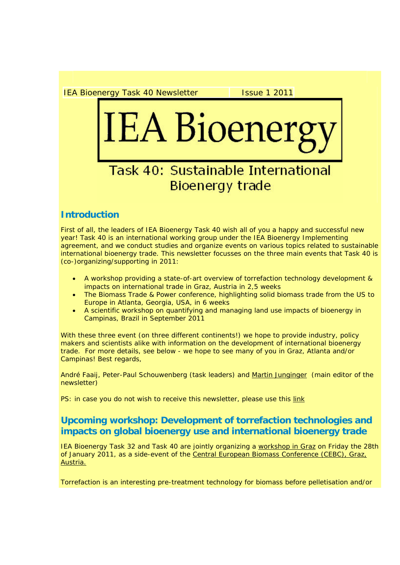IEA Bioenergy Task 40 Newsletter **Interest Parts** Issue 1 2011

# IEA Bioener

# **Task 40: Sustainable International Bioenergy trade**

# **Introduction**

First of all, the leaders of IEA Bioenergy Task 40 wish all of you a happy and successful new year! Task 40 is an international working group under the IEA Bioenergy Implementing agreement, and we conduct studies and organize events on various topics related to sustainable international bioenergy trade. This newsletter focusses on the three main events that Task 40 is (co-)organizing/supporting in 2011:

- A workshop providing a state-of-art overview of torrefaction technology development & impacts on international trade in Graz, Austria in 2,5 weeks
- The Biomass Trade & Power conference, highlighting solid biomass trade from the US to Europe in Atlanta, Georgia, USA, in 6 weeks
- A scientific workshop on quantifying and managing land use impacts of bioenergy in Campinas, Brazil in September 2011

With these three event (on three different continents!) we hope to provide industry, policy makers and scientists alike with information on the development of international bioenergy trade. For more details, see below - we hope to see many of you in Graz, Atlanta and/or Campinas! Best regards,

André Faaij, Peter-Paul Schouwenberg (task leaders) and Martin Junginger (main editor of the newsletter)

PS: in case you do not wish to receive this newsletter, please use this link

# **Upcoming workshop: Development of torrefaction technologies and impacts on global bioenergy use and international bioenergy trade**

IEA Bioenergy Task 32 and Task 40 are jointly organizing a workshop in Graz on Friday the 28th of January 2011, as a side-event of the Central European Biomass Conference (CEBC), Graz, Austria.

Torrefaction is an interesting pre-treatment technology for biomass before pelletisation and/or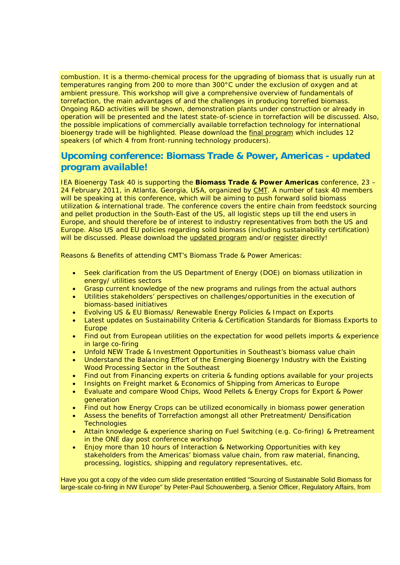combustion. It is a thermo-chemical process for the upgrading of biomass that is usually run at temperatures ranging from 200 to more than 300°C under the exclusion of oxygen and at ambient pressure. This workshop will give a comprehensive overview of fundamentals of torrefaction, the main advantages of and the challenges in producing torrefied biomass. Ongoing R&D activities will be shown, demonstration plants under construction or already in operation will be presented and the latest state-of-science in torrefaction will be discussed. Also, the possible implications of commercially available torrefaction technology for international bioenergy trade will be highlighted. Please download the final program which includes 12 speakers (of which 4 from front-running technology producers).

# **Upcoming conference: Biomass Trade & Power, Americas - updated program available!**

IEA Bioenergy Task 40 is supporting the **Biomass Trade & Power Americas** conference, 23 – 24 February 2011, in Atlanta, Georgia, USA, organized by CMT. A number of task 40 members will be speaking at this conference, which will be aiming to push forward solid biomass utilization & international trade. The conference covers the entire chain from feedstock sourcing and pellet production in the South-East of the US, all logistic steps up till the end users in Europe, and should therefore be of interest to industry representatives from both the US and Europe. Also US and EU policies regarding solid biomass (including sustainability certification) will be discussed. Please download the updated program and/or register directly!

Reasons & Benefits of attending CMT's Biomass Trade & Power Americas:

- Seek clarification from the US Department of Energy (DOE) on biomass utilization in energy/ utilities sectors
- Grasp current knowledge of the new programs and rulings from the actual authors
- Utilities stakeholders' perspectives on challenges/opportunities in the execution of biomass-based initiatives
- Evolving US & EU Biomass/ Renewable Energy Policies & Impact on Exports
- Latest updates on Sustainability Criteria & Certification Standards for Biomass Exports to Europe
- Find out from European utilities on the expectation for wood pellets imports & experience in large co-firing
- Unfold NEW Trade & Investment Opportunities in Southeast's biomass value chain
- Understand the Balancing Effort of the Emerging Bioenergy Industry with the Existing Wood Processing Sector in the Southeast
- Find out from Financing experts on criteria & funding options available for your projects
- Insights on Freight market & Economics of Shipping from Americas to Europe
- Evaluate and compare Wood Chips, Wood Pellets & Energy Crops for Export & Power generation
- Find out how Energy Crops can be utilized economically in biomass power generation
- Assess the benefits of Torrefaction amongst all other Pretreatment/ Densification **Technologies**
- Attain knowledge & experience sharing on Fuel Switching (e.g. Co-firing) & Pretreament in the ONE day post conference workshop
- Enjoy more than 10 hours of Interaction & Networking Opportunities with key stakeholders from the Americas' biomass value chain, from raw material, financing, processing, logistics, shipping and regulatory representatives, etc.

Have you got a copy of the video cum slide presentation entitled "Sourcing of Sustainable Solid Biomass for large-scale co-firing in NW Europe" by Peter-Paul Schouwenberg, a Senior Officer, Regulatory Affairs, from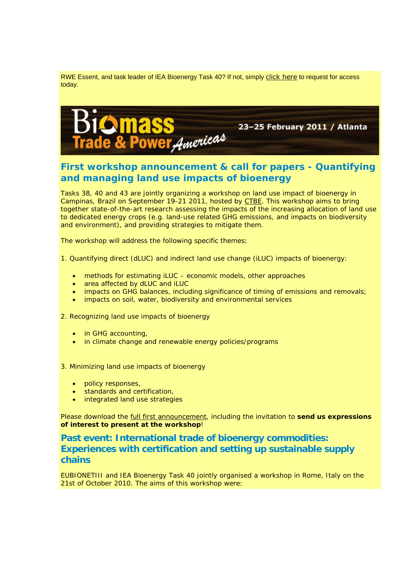RWE Essent, and task leader of IEA Bioenergy Task 40? If not, simply click here to request for access today.



# **First workshop announcement & call for papers - Quantifying and managing land use impacts of bioenergy**

Tasks 38, 40 and 43 are jointly organizing a workshop on land use impact of bioenergy in Campinas, Brazil on September 19-21 2011, hosted by CTBE. This workshop aims to bring together state-of-the-art research assessing the impacts of the increasing allocation of land use to dedicated energy crops (e.g. land-use related GHG emissions, and impacts on biodiversity and environment), and providing strategies to mitigate them.

The workshop will address the following specific themes:

1. Quantifying direct (dLUC) and indirect land use change (iLUC) impacts of bioenergy:

- methods for estimating iLUC economic models, other approaches
- area affected by dLUC and iLUC
- impacts on GHG balances, including significance of timing of emissions and removals;
- impacts on soil, water, biodiversity and environmental services

2. Recognizing land use impacts of bioenergy

- in GHG accounting,
- in climate change and renewable energy policies/programs

3. Minimizing land use impacts of bioenergy

- policy responses,
- standards and certification,
- integrated land use strategies

Please download the full first announcement, including the invitation to **send us expressions of interest to present at the workshop**!

# **Past event: International trade of bioenergy commodities: Experiences with certification and setting up sustainable supply chains**

EUBIONETIII and IEA Bioenergy Task 40 jointly organised a workshop in Rome, Italy on the 21st of October 2010. The aims of this workshop were: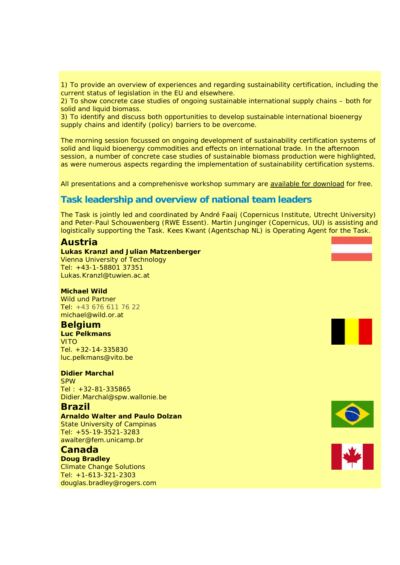1) To provide an overview of experiences and regarding sustainability certification, including the current status of legislation in the EU and elsewhere.

2) To show concrete case studies of ongoing sustainable international supply chains – both for solid and liquid biomass.

3) To identify and discuss both opportunities to develop sustainable international bioenergy supply chains and identify (policy) barriers to be overcome.

The morning session focussed on ongoing development of sustainability certification systems of solid and liquid bioenergy commodities and effects on international trade. In the afternoon session, a number of concrete case studies of sustainable biomass production were highlighted, as were numerous aspects regarding the implementation of sustainability certification systems.

All presentations and a comprehenisve workshop summary are available for download for free.

### **Task leadership and overview of national team leaders**

The Task is jointly led and coordinated by André Faaij (Copernicus Institute, Utrecht University) and Peter-Paul Schouwenberg (RWE Essent). Martin Junginger (Copernicus, UU) is assisting and logistically supporting the Task. Kees Kwant (Agentschap NL) is Operating Agent for the Task.

### **Austria**

### **Lukas Kranzl and Julian Matzenberger** Vienna University of Technology Tel: +43-1-58801 37351 Lukas.Kranzl@tuwien.ac.at

### **Michael Wild**

Wild und Partner Tel: +43 676 611 76 22 michael@wild.or.at

### **Belgium**

**Luc Pelkmans** VITO Tel. +32-14-335830 luc.pelkmans@vito.be

### **Didier Marchal**

SPW Tel : +32-81-335865 Didier.Marchal@spw.wallonie.be

### **Brazil**

**Arnaldo Walter and Paulo Dolzan** State University of Campinas

Tel: +55-19-3521-3283 awalter@fem.unicamp.br

### **Canada**

**Doug Bradley** Climate Change Solutions Tel: +1-613-321-2303 douglas.bradley@rogers.com



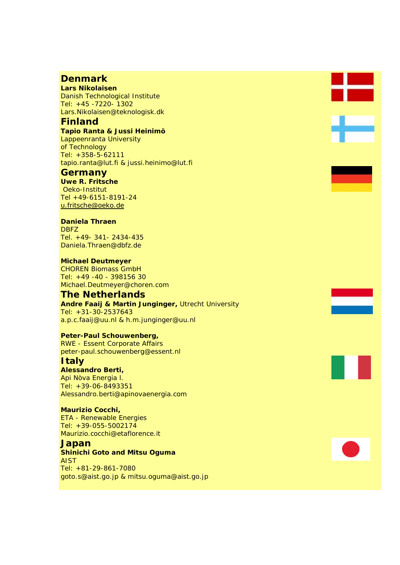## **Denmark**

**Lars Nikolaisen** Danish Technological Institute Tel: +45 -7220- 1302 Lars.Nikolaisen@teknologisk.dk

### **Finland**

**Tapio Ranta & Jussi Heinimö** Lappeenranta University of Technology Tel: +358-5-62111 tapio.ranta@lut.fi & jussi.heinimo@lut.fi

### **Germany**

**Uwe R. Fritsche** Oeko-Institut Tel +49-6151-8191-24 u.fritsche@oeko.de

### **Daniela Thraen**

DBFZ Tel. +49- 341- 2434-435 Daniela.Thraen@dbfz.de

**Michael Deutmeyer** CHOREN Biomass GmbH Tel: +49 -40 - 398156 30 Michael.Deutmeyer@choren.com

### **The Netherlands**

**Andre Faaij & Martin Junginger,** Utrecht University Tel: +31-30-2537643 a.p.c.faaij@uu.nl & h.m.junginger@uu.nl

### **Peter-Paul Schouwenberg,**

RWE - Essent Corporate Affairs peter-paul.schouwenberg@essent.nl

### **Italy**

**Alessandro Berti,** Api Nòva Energia l. Tel: +39-06-8493351 Alessandro.berti@apinovaenergia.com

### **Maurizio Cocchi,**

ETA - Renewable Energies Tel: +39-055-5002174 Maurizio.cocchi@etaflorence.it

### **Japan**

**Shinichi Goto and Mitsu Oguma** AIST Tel: +81-29-861-7080 goto.s@aist.go.jp & mitsu.oguma@aist.go.jp